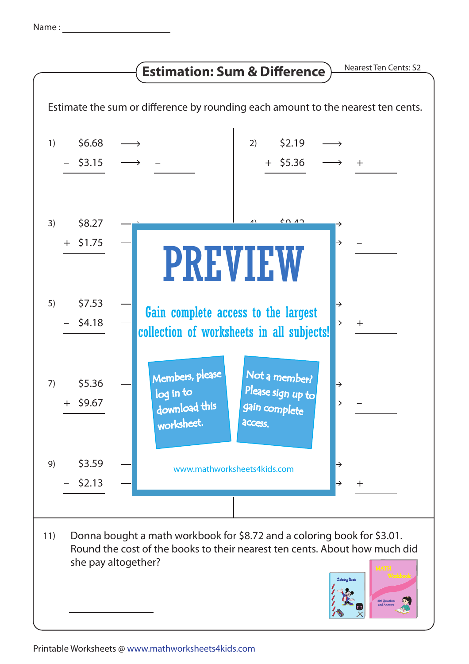